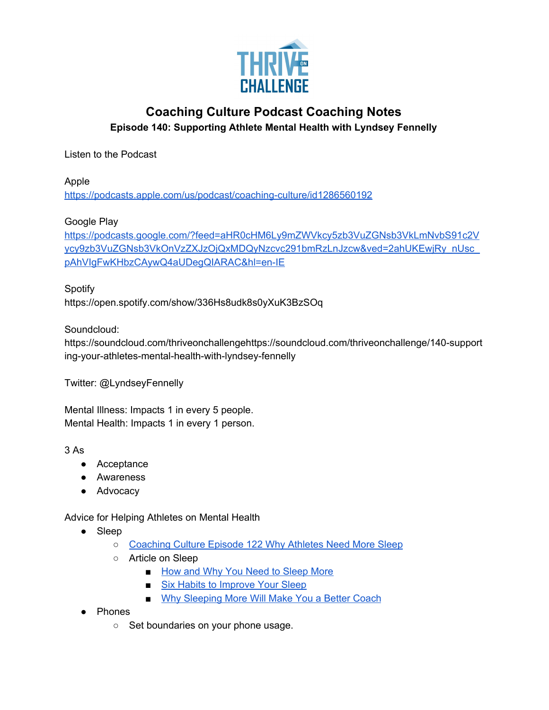

## **Coaching Culture Podcast Coaching Notes Episode 140: Supporting Athlete Mental Health with Lyndsey Fennelly**

Listen to the Podcast

Apple <https://podcasts.apple.com/us/podcast/coaching-culture/id1286560192>

Google Play

[https://podcasts.google.com/?feed=aHR0cHM6Ly9mZWVkcy5zb3VuZGNsb3VkLmNvbS91c2V](https://podcasts.google.com/?feed=aHR0cHM6Ly9mZWVkcy5zb3VuZGNsb3VkLmNvbS91c2Vycy9zb3VuZGNsb3VkOnVzZXJzOjQxMDQyNzcvc291bmRzLnJzcw&ved=2ahUKEwjRy_nUsc_pAhVIgFwKHbzCAywQ4aUDegQIARAC&hl=en-IE) [ycy9zb3VuZGNsb3VkOnVzZXJzOjQxMDQyNzcvc291bmRzLnJzcw&ved=2ahUKEwjRy\\_nUsc\\_](https://podcasts.google.com/?feed=aHR0cHM6Ly9mZWVkcy5zb3VuZGNsb3VkLmNvbS91c2Vycy9zb3VuZGNsb3VkOnVzZXJzOjQxMDQyNzcvc291bmRzLnJzcw&ved=2ahUKEwjRy_nUsc_pAhVIgFwKHbzCAywQ4aUDegQIARAC&hl=en-IE) [pAhVIgFwKHbzCAywQ4aUDegQIARAC&hl=en-IE](https://podcasts.google.com/?feed=aHR0cHM6Ly9mZWVkcy5zb3VuZGNsb3VkLmNvbS91c2Vycy9zb3VuZGNsb3VkOnVzZXJzOjQxMDQyNzcvc291bmRzLnJzcw&ved=2ahUKEwjRy_nUsc_pAhVIgFwKHbzCAywQ4aUDegQIARAC&hl=en-IE)

Spotify https://open.spotify.com/show/336Hs8udk8s0yXuK3BzSOq

Soundcloud:

https://soundcloud.com/thriveonchallengehttps://soundcloud.com/thriveonchallenge/140-support ing-your-athletes-mental-health-with-lyndsey-fennelly

Twitter: @LyndseyFennelly

Mental Illness: Impacts 1 in every 5 people. Mental Health: Impacts 1 in every 1 person.

3 As

- Acceptance
- Awareness
- Advocacy

Advice for Helping Athletes on Mental Health

- Sleep
	- [Coaching](https://podcasts.apple.com/au/podcast/122-why-your-athletes-need-more-sleep-and-what-to-do-about-it/id1286560192?i=1000463121915) Culture Episode 122 Why Athletes Need More Sleep
	- Article on Sleep
		- How and Why You Need to [Sleep](https://thriveonchallenge.com/the-foundation-of-elite-performance/) More
		- Six Habits to [Improve](https://thriveonchallenge.com/how-sleep-deprivation-is-hurting-athletes-and-six-habits-for-better-sleep/) Your Sleep
		- Why [Sleeping](https://thriveonchallenge.com/why-sleeping-more-will-make-you-a-better-coach/) More Will Make You a Better Coach
- Phones
	- Set boundaries on your phone usage.